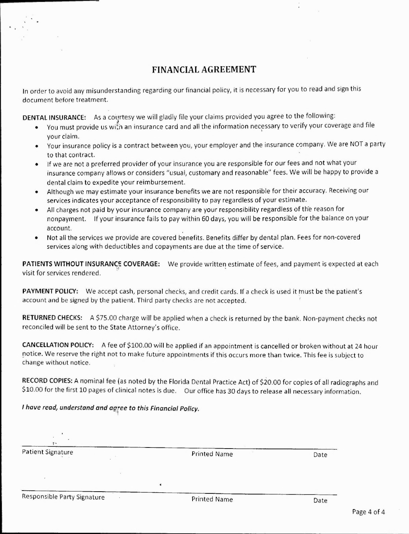## **FINANCIAL AGREEMENT**

In order to avoid any misunderstanding regarding our financial policy, it is necessary for you to read and sign this document before treatment.

**DENTAL INSURANCE:** As a courtesy we will gladly file your claims provided you agree to the following:

- You must provide us with an insurance card and all the information necessary to verify your coverage and file your claim.
- Your insurance policy is a contract between you, your employer and the insurance company. We are NOT a party to that contract.
- If we are not a preferred provider of your insurance you are responsible for our fees and not what your insurance company allows or considers "usual, customary and reasonable" fees. We will be happy to provide a dental claim to expedite your reimbursement.
- Although we may estimate your insurance benefits we are not responsible for their accuracy. Receiving our services indicates your acceptance of responsibility to pay regardless of your estimate.
- All charges not paid by your insurance company are your responsibility regardless of the reason for nonpayment. If your insurance fails to pay within 60 days, you will be responsible for the balance on your account.
- Not all the services we provide are covered benefits. Benefits differ by dental plan. Fees for non-covered services along with deductibles and copayments are due at the time of service.

**PATIENTS WITHOUT INSURANCE COVERAGE:** We provide written estimate of fees, and payment is expected at each visit for services rendered.

**PAYMENT POLICY:** We accept cash, personal checks, and credit cards. If a check is used it must be the patient's account and be signed by the patient. Third party checks are not accepted.

**RETURNED CHECKS:** A \$75.00 charge will be applied when a check is returned by the bank. Non-payment checks not reconciled will be sent to the State Attorney's office.

**CANCELLATION POLICY:** A fee of \$100.00 will be applied if an appointment is cancelled or broken without at 24 hour notice. We reserve the right not to make future appointments if this occurs more than twice. This fee is subject to change without notice. motice. We reserve<br>change without no<br>RECORD COPIES: 4<br>\$10.00 for the first<br>*I have read, under*<br>Patient Signature

**RECORD COPIES:** A nominal fee (as noted by the Florida Dental Practice Act) of \$20.00 for copies of all radiographs and \$10.00 for the first 10 pages of clinical notes is due. Our office has 30 days to release all necessary information. ments it this occurs more than twice. This fee<br>Dental Practice Act) of \$20.00 for copies of all<br>ir office has 30 days to release all necessary in<br>cy.<br>Printed Name Date Dental Practice Act) of \$20.00 for copies of all<br>profice has 30 days to release all necessary in the printed Name<br>Printed Name Date

*I have read, understand and aaree to this Financial Policy.* I have read, understand and<br>Patient Signature<br>Responsible Party Signature

t.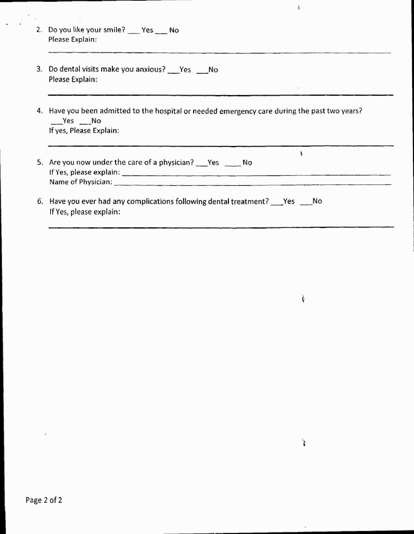- 2. Do you like your smile? Yes No Please Explain:
- 2. Do you like your smile? \_\_\_ Yes \_\_\_ No<br>Please Explain:<br>3. Do dental visits make you anxious? \_\_\_ Yes \_\_\_\_ No<br>Please Explain: Please Explain:
- 4. Have you been admitted to the hospital or needed emergency care during the past two years? Yes No If yes, Please Explain:

| 3. Do dental visits make you anxious? Yes No<br>Please Explain:                                                                      |
|--------------------------------------------------------------------------------------------------------------------------------------|
| 4. Have you been admitted to the hospital or needed emergency care during the past two years?<br>$Yes$ No<br>If yes, Please Explain: |
| 5. Are you now under the care of a physician? Yes No                                                                                 |
| 6. Have you ever had any complications following dental treatment? Pes Allo<br>If Yes, please explain:                               |

i.

 $\mathcal{L}^{\text{max}}$ 

 $\frac{1}{2}$